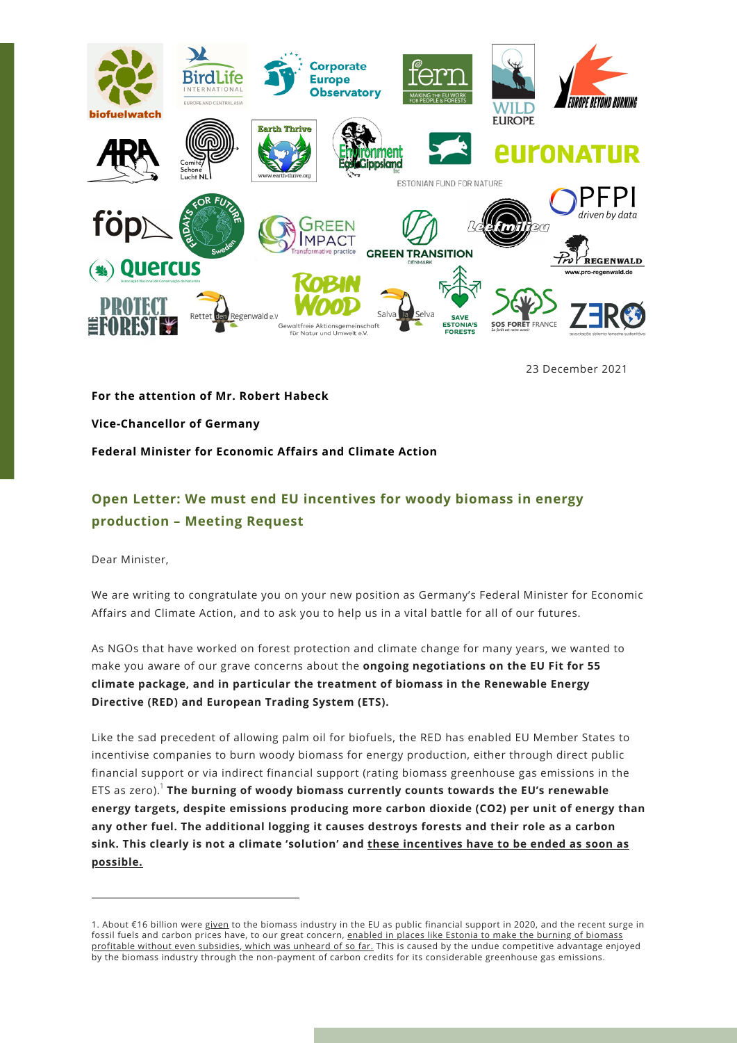

23 December 2021

**For the attention of Mr. Robert Habeck Vice-Chancellor of Germany Federal Minister for Economic Affairs and Climate Action**

## **Open Letter: We must end EU incentives for woody biomass in energy production – Meeting Request**

Dear Minister,

We are writing to congratulate you on your new position as Germany's Federal Minister for Economic Affairs and Climate Action, and to ask you to help us in a vital battle for all of our futures.

As NGOs that have worked on forest protection and climate change for many years, we wanted to make you aware of our grave concerns about the **ongoing negotiations on the EU Fit for 55 climate package, and in particular the treatment of biomass in the Renewable Energy Directive (RED) and European Trading System (ETS).**

Like the sad precedent of allowing palm oil for biofuels, the RED has enabled EU Member States to incentivise companies to burn woody biomass for energy production, either through direct public financial support or via indirect financial support (rating biomass greenhouse gas emissions in the ETS as zero). **The burning of woody biomass currently counts towards the EU's renewable** 1 **energy targets, despite emissions producing more carbon dioxide (CO2) per unit of energy than any other fuel. The additional logging it causes destroys forests and their role as a carbon sink. This clearly is not a climate 'solution' and these incentives have to be ended as soon as possible.**

<sup>1.</sup> About €16 billion were [given](https://op.europa.eu/en/publication-detail/-/publication/be5268ba-3609-11ec-bd8e-01aa75ed71a1/language-en) to the biomass industry in the EU as public financial support in 2020, and the recent surge in fossil fuels and carbon prices have, to our great concern, enabled in places like Estonia to make the burning of biomass profitable without even subsidies, which was unheard of so far. This is caused by the undue [competitive](https://www.err.ee/1608350243/narva-elektrijaamad-tahavad-tosta-puidu-poletamist-kuni-miljoni-tonnini) advantage enjoyed by the biomass industry through the non-payment of carbon credits for its considerable greenhouse gas emissions.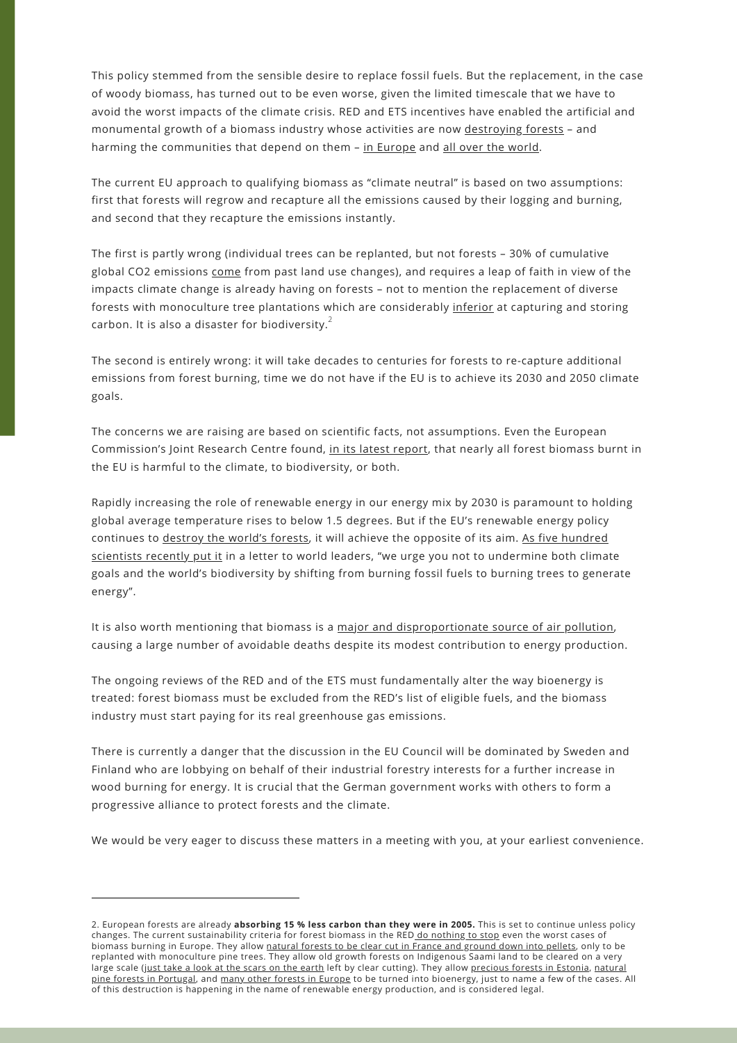This policy stemmed from the sensible desire to replace fossil fuels. But the replacement, in the case of woody biomass, has turned out to be even worse, given the limited timescale that we have to avoid the worst impacts of the climate crisis. RED and ETS incentives have enabled the artificial and monumental growth of a biomass industry whose activities are now [destroying](https://www.nature.com/articles/s41467-018-06175-4) forests - and harming the communities that depend on them - in [Europe](https://elfond.ee/biomassreport) and all over the [world.](https://edition.cnn.com/interactive/2021/07/us/american-south-biomass-energy-invs/)

The current EU approach to qualifying biomass as "climate neutral" is based on two assumptions: first that forests will regrow and recapture all the emissions caused by their logging and burning, and second that they recapture the emissions instantly.

The first is partly wrong (individual trees can be replanted, but not forests – 30% of cumulative global CO2 emissions [come](https://robbieandrew.github.io/GCB2021/thumb/s84_2021_Cumulative_by_source.png) from past land use changes), and requires a leap of faith in view of the impacts climate change is already having on forests – not to mention the replacement of diverse forests with monoculture tree plantations which are considerably [inferior](https://www.nature.com/articles/d41586-019-01026-8) at capturing and storing carbon. It is also a disaster for biodiversity. $^2$ 

The second is entirely wrong: it will take decades to centuries for forests to re-capture additional emissions from forest burning, time we do not have if the EU is to achieve its 2030 and 2050 climate goals.

The concerns we are raising are based on scientific facts, not assumptions. Even the European Commission's Joint Research Centre found, in its latest [report,](https://publications.jrc.ec.europa.eu/repository/handle/JRC122719) that nearly all forest biomass burnt in the EU is harmful to the climate, to biodiversity, or both.

Rapidly increasing the role of renewable energy in our energy mix by 2030 is paramount to holding global average temperature rises to below 1.5 degrees. But if the EU's renewable energy policy continues to [destroy](https://www.nature.com/articles/s41467-018-06175-4) the world's forests, it will achieve the opposite of its aim. As five hundred scientists recently put it in a letter to world leaders, "we urge you not to [undermine](https://www.dropbox.com/s/hdmmcnd0d1d2lq5/Scientist%20Letter%20to%20Biden%2C%20von%20der%20Leyen%2C%20Michel%2C%20Suga%20%26%20Moon%20%20Re.%20Forest%20Biomass%20%28February%2011%2C%202021%29.pdf?dl=0) both climate goals and the world's biodiversity by shifting from burning fossil fuels to burning trees to generate energy".

It is also worth mentioning that biomass is a major and [disproportionate](https://www.fern.org/fileadmin/uploads/fern/Documents/Covered%20in%20smoke.pdf) source of air pollution, causing a large number of avoidable deaths despite its modest contribution to energy production.

The ongoing reviews of the RED and of the ETS must fundamentally alter the way bioenergy is treated: forest biomass must be excluded from the RED's list of eligible fuels, and the biomass industry must start paying for its real greenhouse gas emissions.

There is currently a danger that the discussion in the EU Council will be dominated by Sweden and Finland who are lobbying on behalf of their industrial forestry interests for a further increase in wood burning for energy. It is crucial that the German government works with others to form a progressive alliance to protect forests and the climate.

We would be very eager to discuss these matters in a meeting with you, at your earliest convenience.

<sup>2.</sup> European forests are already **absorbing 15 % less carbon than they were in 2005.** This is set to continue unless policy changes. The current sustainability criteria for forest biomass in the RED do [nothing](https://www.fern.org/fileadmin/uploads/fern/Documents/2021/Unsustainable_and_ineffective_EU_Forest_Biomass_Standards.pdf) to stop even the worst cases of biomass burning in Europe. They allow [natural](https://www.canopee-asso.org/biosyl/) forests to be clear cut in France and ground down into pellets, only to be replanted with monoculture pine trees. They allow old growth forests on Indigenous Saami land to be cleared on a very large scale (just take a look at the scars on the [earth](https://www.theguardian.com/environment/gallery/2021/apr/16/forests-felling-swedens-ancient-trees-biodiversity-sami-environment#img-12) left by clear cutting). They allow [precious](https://elfond.ee/natura-report) forests in Estonia, natural pine forests in Portugal, and many other forests in [Europe](https://www.stand.earth/publication/forest-conservation/forests-and-wood-pellets/risk-map-primary-forest-and-threatened) to be turned into [bioenergy,](https://zero.ong/zero-apela-a-suspensao-da-atividade-da-central-de-biomassa-do-fundao/) just to name a few of the cases. All of this destruction is happening in the name of renewable energy production, and is considered legal.